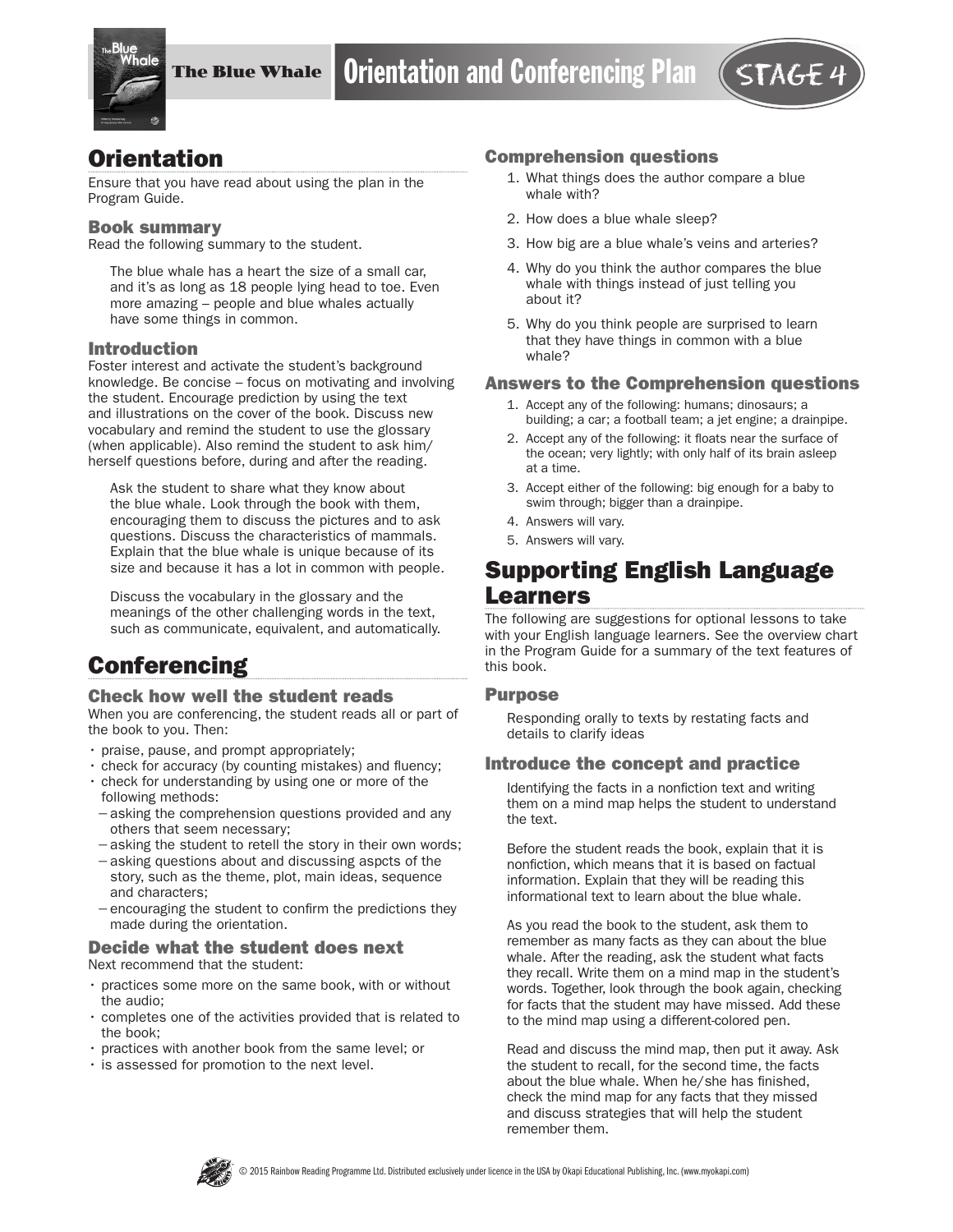

## **Orientation**

Ensure that you have read about using the plan in the Program Guide.

#### Book summary

Read the following summary to the student.

The blue whale has a heart the size of a small car, and it's as long as 18 people lying head to toe. Even more amazing – people and blue whales actually have some things in common.

### Introduction

Foster interest and activate the student's background knowledge. Be concise – focus on motivating and involving the student. Encourage prediction by using the text and illustrations on the cover of the book. Discuss new vocabulary and remind the student to use the glossary (when applicable). Also remind the student to ask him/ herself questions before, during and after the reading.

Ask the student to share what they know about the blue whale. Look through the book with them, encouraging them to discuss the pictures and to ask questions. Discuss the characteristics of mammals. Explain that the blue whale is unique because of its size and because it has a lot in common with people.

Discuss the vocabulary in the glossary and the meanings of the other challenging words in the text, such as communicate, equivalent, and automatically.

# **Conferencing**

#### Check how well the student reads

When you are conferencing, the student reads all or part of the book to you. Then:

- praise, pause, and prompt appropriately;
- check for accuracy (by counting mistakes) and fluency;
- check for understanding by using one or more of the following methods:
- −asking the comprehension questions provided and any others that seem necessary;
- −asking the student to retell the story in their own words;
- −asking questions about and discussing aspcts of the story, such as the theme, plot, main ideas, sequence and characters;
- −encouraging the student to confirm the predictions they made during the orientation.

#### Decide what the student does next Next recommend that the student:

- practices some more on the same book, with or without the audio;
- completes one of the activities provided that is related to the book;
- practices with another book from the same level; or
- is assessed for promotion to the next level.

#### Comprehension questions

- 1. What things does the author compare a blue whale with?
- 2. How does a blue whale sleep?
- 3. How big are a blue whale's veins and arteries?
- 4. Why do you think the author compares the blue whale with things instead of just telling you about it?
- 5. Why do you think people are surprised to learn that they have things in common with a blue whale?

#### Answers to the Comprehension questions

- 1. Accept any of the following: humans; dinosaurs; a building; a car; a football team; a jet engine; a drainpipe.
- 2. Accept any of the following: it floats near the surface of the ocean; very lightly; with only half of its brain asleep at a time.
- 3. Accept either of the following: big enough for a baby to swim through; bigger than a drainpipe.
- 4. Answers will vary.
- 5. Answers will vary.

# Supporting English Language Learners

The following are suggestions for optional lessons to take with your English language learners. See the overview chart in the Program Guide for a summary of the text features of this book.

#### Purpose

Responding orally to texts by restating facts and details to clarify ideas

#### Introduce the concept and practice

Identifying the facts in a nonfiction text and writing them on a mind map helps the student to understand the text.

Before the student reads the book, explain that it is nonfiction, which means that it is based on factual information. Explain that they will be reading this informational text to learn about the blue whale.

As you read the book to the student, ask them to remember as many facts as they can about the blue whale. After the reading, ask the student what facts they recall. Write them on a mind map in the student's words. Together, look through the book again, checking for facts that the student may have missed. Add these to the mind map using a different-colored pen.

Read and discuss the mind map, then put it away. Ask the student to recall, for the second time, the facts about the blue whale. When he/she has finished, check the mind map for any facts that they missed and discuss strategies that will help the student remember them.

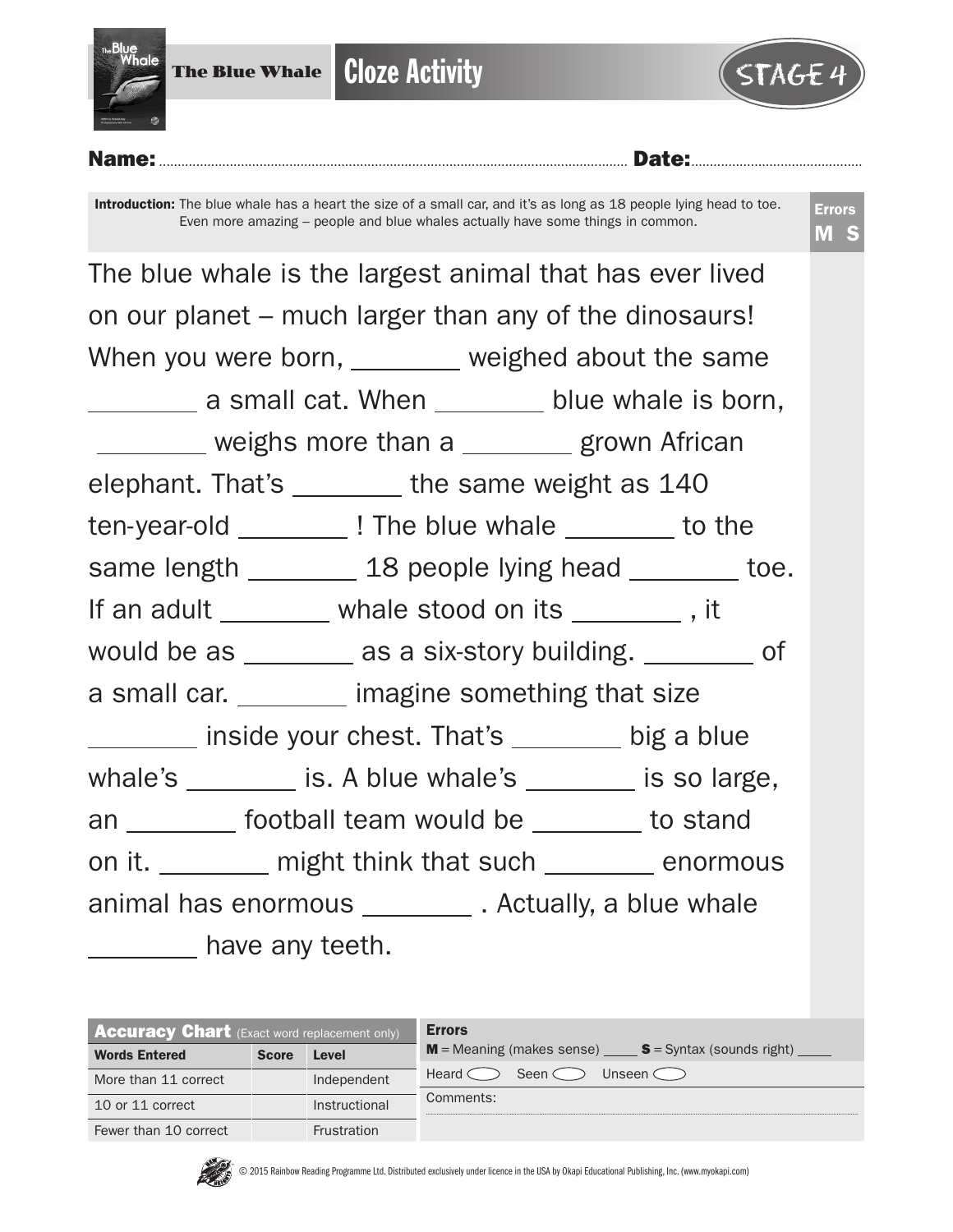



### Name:.............................................................................................................................. Date:..............................................

Introduction: The blue whale has a heart the size of a small car, and it's as long as 18 people lying head to toe. Even more amazing – people and blue whales actually have some things in common.

| The blue whale is the largest animal that has ever lived  |  |  |  |  |  |  |  |
|-----------------------------------------------------------|--|--|--|--|--|--|--|
| on our planet – much larger than any of the dinosaurs!    |  |  |  |  |  |  |  |
| When you were born, _______ weighed about the same        |  |  |  |  |  |  |  |
| a small cat. When _______ blue whale is born,             |  |  |  |  |  |  |  |
| ________ weighs more than a _______ grown African         |  |  |  |  |  |  |  |
| elephant. That's ________ the same weight as 140          |  |  |  |  |  |  |  |
| ten-year-old ___________! The blue whale _________ to the |  |  |  |  |  |  |  |
| same length _________ 18 people lying head ________ toe.  |  |  |  |  |  |  |  |
| If an adult ________ whale stood on its _________ , it    |  |  |  |  |  |  |  |
| would be as _______ as a six-story building. _______ of   |  |  |  |  |  |  |  |
| a small car. imagine something that size                  |  |  |  |  |  |  |  |
| inside your chest. That's ______ big a blue               |  |  |  |  |  |  |  |
| whale's ________ is. A blue whale's _______ is so large,  |  |  |  |  |  |  |  |
| an _________ football team would be ________ to stand     |  |  |  |  |  |  |  |
| on it. _______ might think that such _______ enormous     |  |  |  |  |  |  |  |
| animal has enormous ___________. Actually, a blue whale   |  |  |  |  |  |  |  |
| _________ have any teeth.                                 |  |  |  |  |  |  |  |

| <b>Accuracy Chart</b> (Exact word replacement only) |              |                    | <b>Errors</b>                                                                     |
|-----------------------------------------------------|--------------|--------------------|-----------------------------------------------------------------------------------|
| <b>Words Entered</b>                                | <b>Score</b> | Level              | $M$ = Meaning (makes sense) $\_\_\_\_\$ S = Syntax (sounds right) $\_\_\_\_\_\_\$ |
| More than 11 correct                                |              | Independent        | Heard $\subset$<br>Unseen $\subset$<br>Seen $\subset$                             |
| 10 or 11 correct                                    |              | Instructional      | Comments:                                                                         |
| Fewer than 10 correct                               |              | <b>Frustration</b> |                                                                                   |

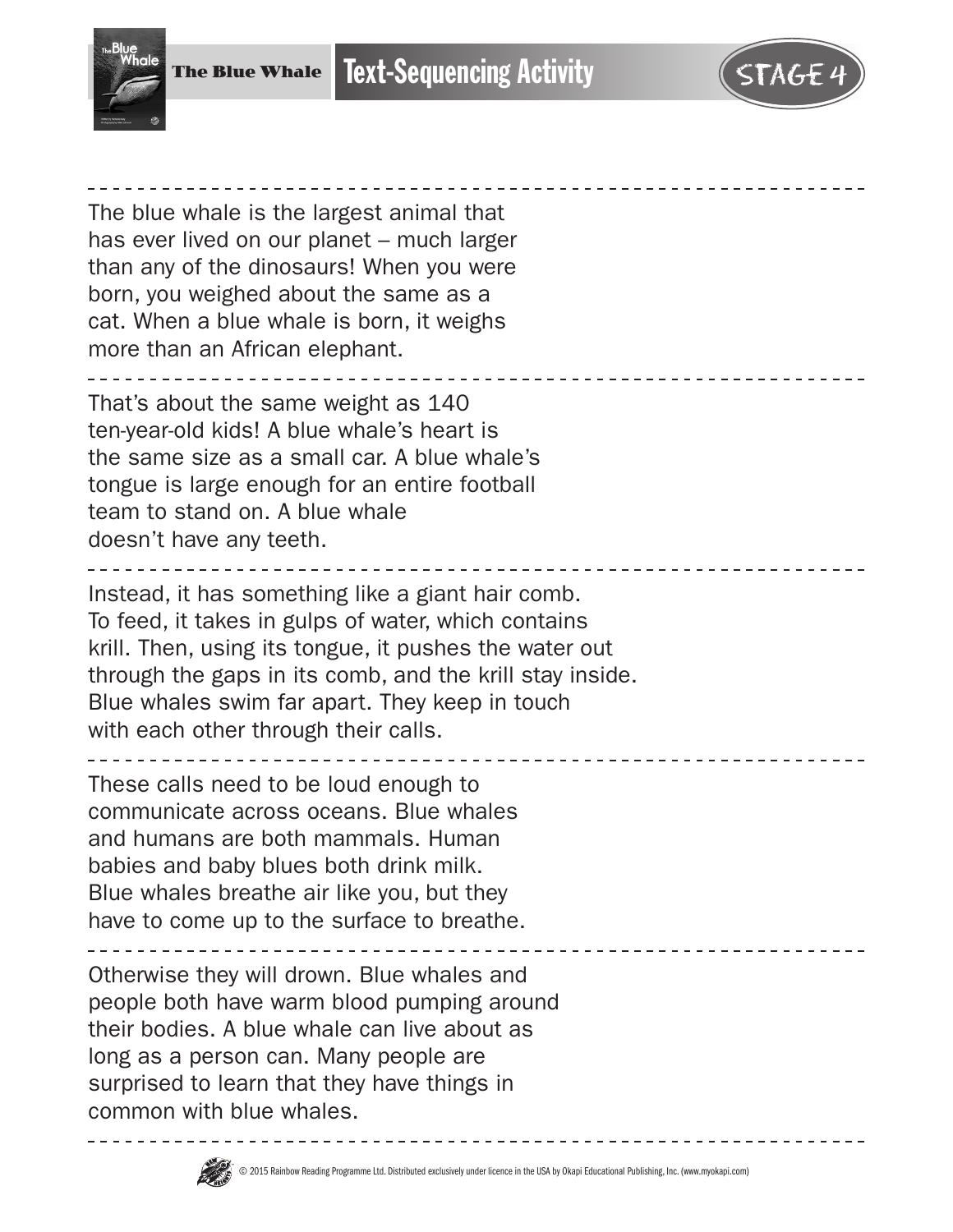

| The blue whale is the largest animal that<br>has ever lived on our planet – much larger<br>than any of the dinosaurs! When you were<br>born, you weighed about the same as a<br>cat. When a blue whale is born, it weighs<br>more than an African elephant.                                                              |
|--------------------------------------------------------------------------------------------------------------------------------------------------------------------------------------------------------------------------------------------------------------------------------------------------------------------------|
| That's about the same weight as 140<br>ten-year-old kids! A blue whale's heart is<br>the same size as a small car. A blue whale's<br>tongue is large enough for an entire football<br>team to stand on. A blue whale<br>doesn't have any teeth.                                                                          |
| Instead, it has something like a giant hair comb.<br>To feed, it takes in gulps of water, which contains<br>krill. Then, using its tongue, it pushes the water out<br>through the gaps in its comb, and the krill stay inside.<br>Blue whales swim far apart. They keep in touch<br>with each other through their calls. |
| ______________________________<br>These calls need to be loud enough to<br>communicate across oceans. Blue whales<br>and humans are both mammals. Human<br>babies and baby blues both drink milk.<br>Blue whales breathe air like you, but they<br>have to come up to the surface to breathe.                            |
| Otherwise they will drown. Blue whales and<br>people both have warm blood pumping around<br>their bodies. A blue whale can live about as<br>long as a person can. Many people are<br>surprised to learn that they have things in<br>common with blue whales.                                                             |

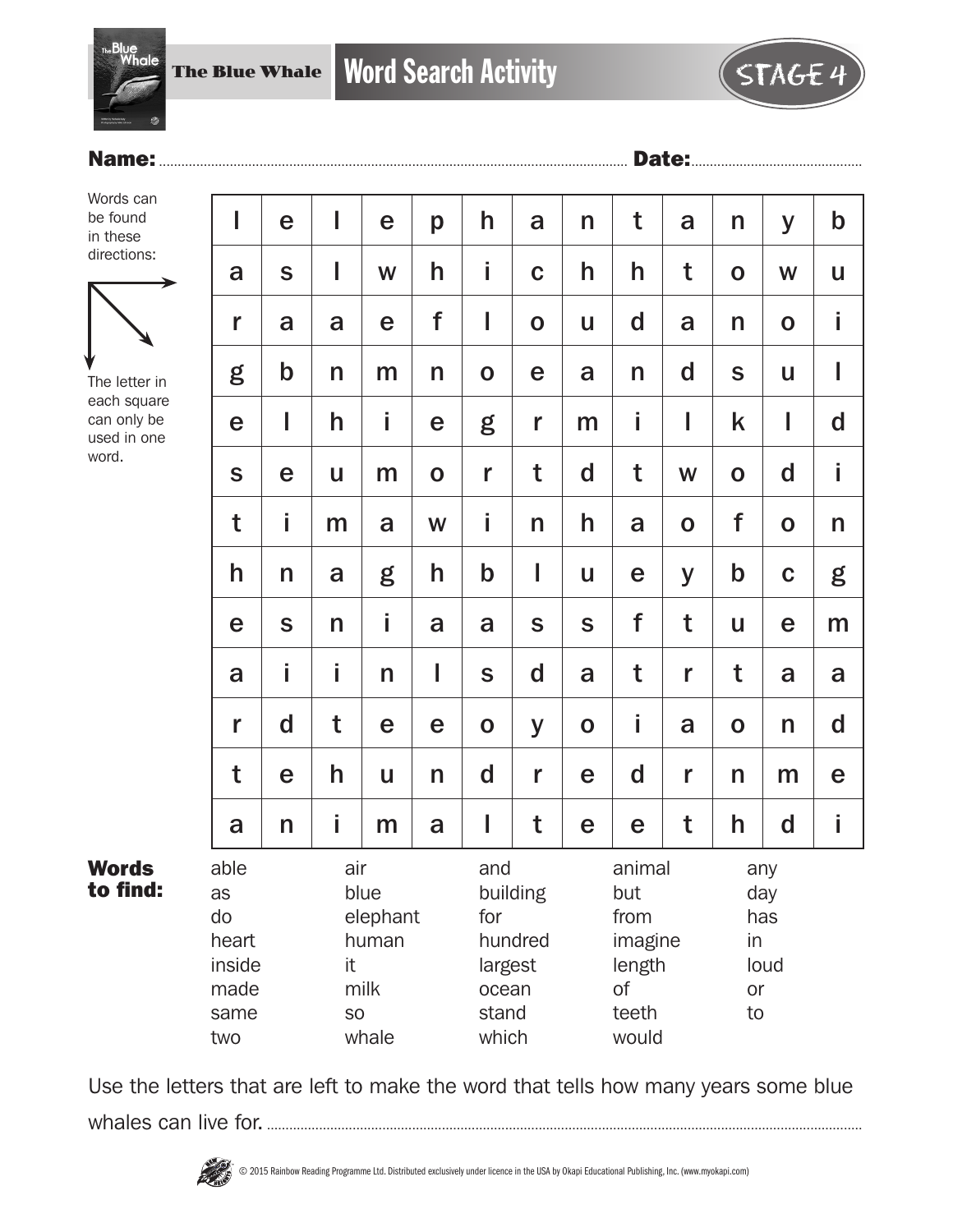

## Name:.............................................................................................................................. Date:..............................................

Words can be found in these directions:



The letter in each square can only be used in one word.

Words to find:

| e                                                                    | I      | e | p                                                                       | h           | a            | n                 | t           | a                                           | n                           | y           | $\mathbf b$ |
|----------------------------------------------------------------------|--------|---|-------------------------------------------------------------------------|-------------|--------------|-------------------|-------------|---------------------------------------------|-----------------------------|-------------|-------------|
| $\mathbf S$                                                          | I      | W | h                                                                       | İ           | $\mathbf C$  | h                 | h           | t                                           | $\mathbf O$                 | W           | U           |
| a                                                                    | a      | e | f                                                                       | I           | $\mathbf O$  | U                 | $\mathbf d$ | a                                           | $\mathsf{n}$                | $\mathbf 0$ | İ           |
| $\mathbf b$                                                          | n      | m | n                                                                       | $\mathbf O$ | e            | a                 | n           | d                                           | S                           | U           | I           |
| I                                                                    | h      | İ | e                                                                       | g           | r            | m                 | i           | I                                           | k                           | I           | $\mathbf d$ |
| e                                                                    | U      | m | $\mathbf O$                                                             | r           | t            | $\mathbf d$       | t           | W                                           | $\mathbf O$                 | d           | İ           |
| i                                                                    | m      | a | W                                                                       | İ           | $\mathsf{n}$ | h                 | a           | $\mathbf 0$                                 | f                           | $\mathbf 0$ | n           |
| n                                                                    | a      | g | h                                                                       | $\mathbf b$ | I            | U                 | e           | y                                           | $\mathbf b$                 | $\mathbf C$ | g           |
| S                                                                    | n      | İ | a                                                                       | a           | $\mathbf S$  | S                 | f           | t                                           | $\mathsf{u}$                | e           | m           |
| i                                                                    | İ      | n | I                                                                       | S           | $\mathbf d$  | a                 | t           | r                                           | t                           | a           | a           |
| $\mathsf{d}$                                                         | t      | e | e                                                                       | $\mathbf 0$ | y            | $\mathbf 0$       | İ.          | a                                           | $\mathbf O$                 | n           | $\mathbf d$ |
| e                                                                    | h      | U | n                                                                       | $\mathbf d$ | r            | e                 | d           | r                                           | $\mathsf{n}$                | m           | e           |
| n                                                                    | i      | m | a                                                                       | I           | t            | e                 | e           | t                                           | h                           | d           | İ           |
| air<br>blue<br>elephant<br>human<br>it<br>milk<br><b>SO</b><br>whale |        |   | and<br>building<br>for<br>hundred<br>largest<br>ocean<br>stand<br>which |             |              | but<br>from<br>of |             | any<br>day<br>has<br>in<br>loud<br>or<br>to |                             |             |             |
|                                                                      | inside |   |                                                                         |             |              |                   |             |                                             | animal<br>imagine<br>length |             |             |

Use the letters that are left to make the word that tells how many years some blue whales can live for.................................................................................................................................................................

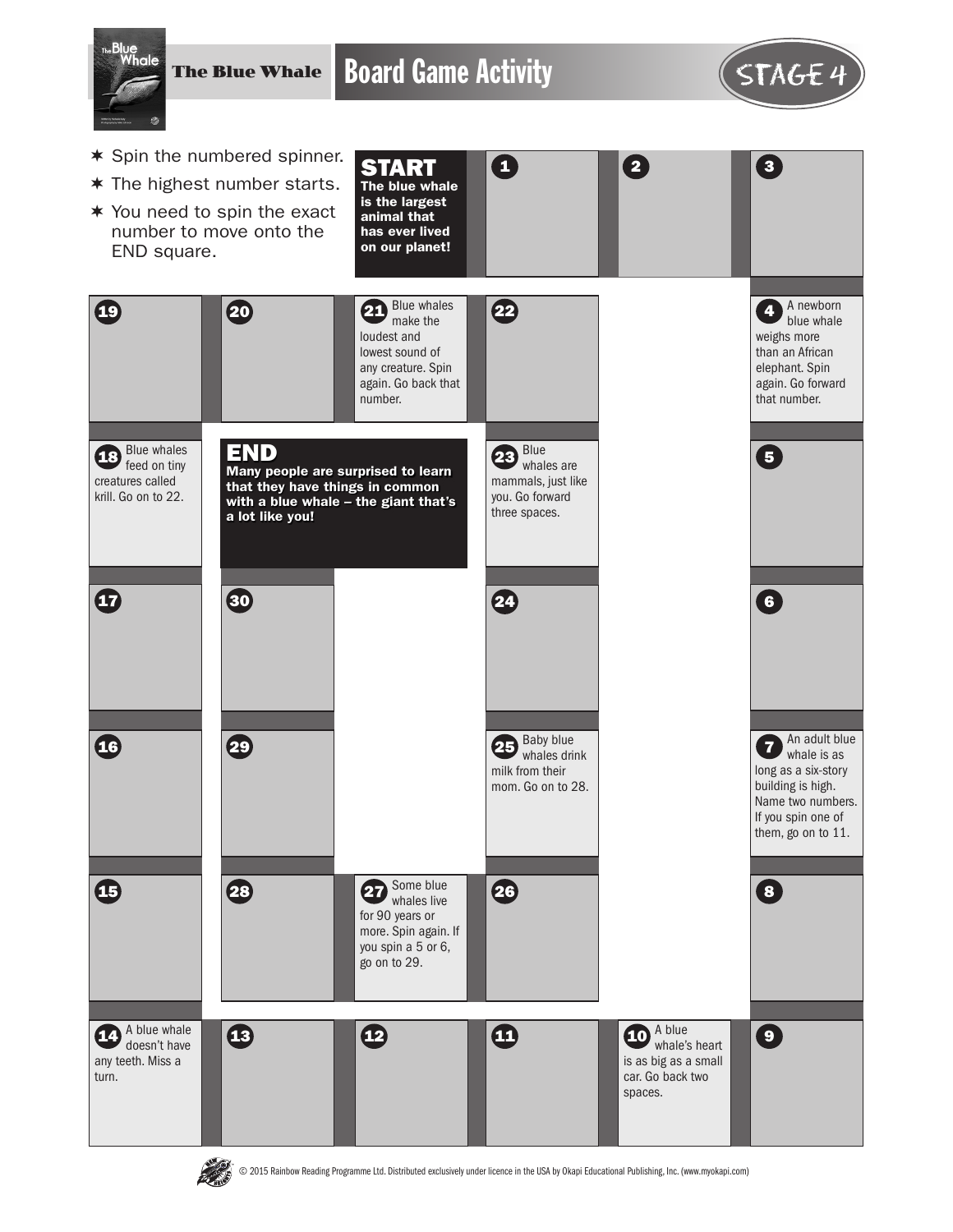

The Blue Whale

Board Game Activity **STAGE 4** 

 $\mathbf \Omega$ 



2 3

A newborn **4** A newborn<br>blue whale weighs more than an African elephant. Spin again. Go forward that number.

- $*$  Spin the numbered spinner.
- $*$  The highest number starts.
- $*$  You need to spin the exact number to move onto the END square.

30

Blue whales **18** Blue writing creatures called krill. Go on to 22.

19 20

 $\boldsymbol{\Phi}$ 

- Blue whales  $21$  Blue whales  $\left| \right|$   $\left| 22 \right|$ loudest and START The blue whale is the largest animal that has ever lived on our planet!
- lowest sound of any creature. Spin again. Go back that number. END Many people are surprised to learn that they have things in common



Blue whales are mammals, just like you. Go forward three spaces. 23 2



building is high. If you spin one of them, go on to 11.



**ARAN** 

© 2015 Rainbow Reading Programme Ltd. Distributed exclusively under licence in the USA by Okapi Educational Publishing, Inc. (www.myokapi.com)